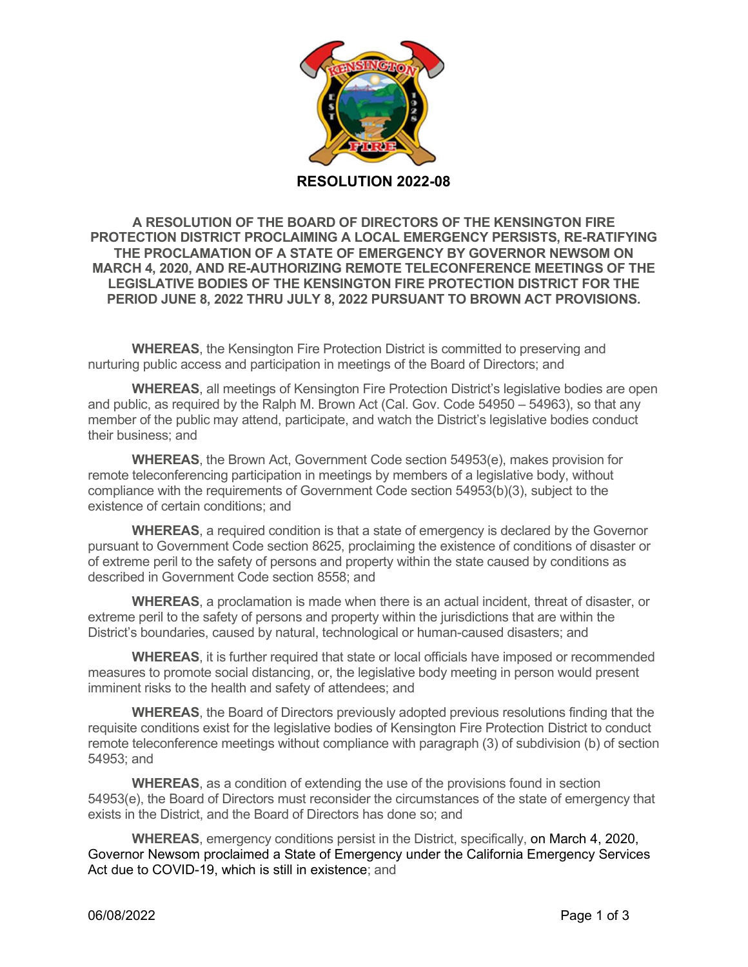

**A RESOLUTION OF THE BOARD OF DIRECTORS OF THE KENSINGTON FIRE PROTECTION DISTRICT PROCLAIMING A LOCAL EMERGENCY PERSISTS, RE-RATIFYING THE PROCLAMATION OF A STATE OF EMERGENCY BY GOVERNOR NEWSOM ON MARCH 4, 2020, AND RE-AUTHORIZING REMOTE TELECONFERENCE MEETINGS OF THE LEGISLATIVE BODIES OF THE KENSINGTON FIRE PROTECTION DISTRICT FOR THE PERIOD JUNE 8, 2022 THRU JULY 8, 2022 PURSUANT TO BROWN ACT PROVISIONS.**

**WHEREAS**, the Kensington Fire Protection District is committed to preserving and nurturing public access and participation in meetings of the Board of Directors; and

**WHEREAS**, all meetings of Kensington Fire Protection District's legislative bodies are open and public, as required by the Ralph M. Brown Act (Cal. Gov. Code 54950 – 54963), so that any member of the public may attend, participate, and watch the District's legislative bodies conduct their business; and

**WHEREAS**, the Brown Act, Government Code section 54953(e), makes provision for remote teleconferencing participation in meetings by members of a legislative body, without compliance with the requirements of Government Code section 54953(b)(3), subject to the existence of certain conditions; and

**WHEREAS**, a required condition is that a state of emergency is declared by the Governor pursuant to Government Code section 8625, proclaiming the existence of conditions of disaster or of extreme peril to the safety of persons and property within the state caused by conditions as described in Government Code section 8558; and

**WHEREAS**, a proclamation is made when there is an actual incident, threat of disaster, or extreme peril to the safety of persons and property within the jurisdictions that are within the District's boundaries, caused by natural, technological or human-caused disasters; and

**WHEREAS**, it is further required that state or local officials have imposed or recommended measures to promote social distancing, or, the legislative body meeting in person would present imminent risks to the health and safety of attendees; and

**WHEREAS**, the Board of Directors previously adopted previous resolutions finding that the requisite conditions exist for the legislative bodies of Kensington Fire Protection District to conduct remote teleconference meetings without compliance with paragraph (3) of subdivision (b) of section 54953; and

**WHEREAS**, as a condition of extending the use of the provisions found in section 54953(e), the Board of Directors must reconsider the circumstances of the state of emergency that exists in the District, and the Board of Directors has done so; and

**WHEREAS**, emergency conditions persist in the District, specifically, on March 4, 2020, Governor Newsom proclaimed a State of Emergency under the California Emergency Services Act due to COVID-19, which is still in existence; and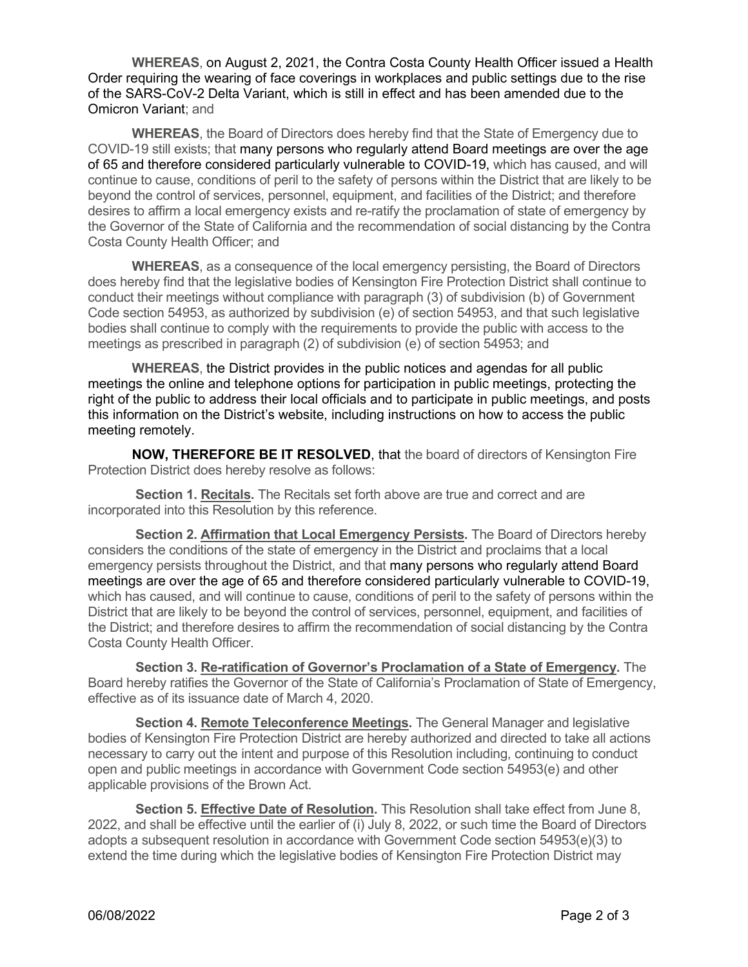**WHEREAS**, on August 2, 2021, the Contra Costa County Health Officer issued a Health Order requiring the wearing of face coverings in workplaces and public settings due to the rise of the SARS-CoV-2 Delta Variant, which is still in effect and has been amended due to the Omicron Variant; and

**WHEREAS**, the Board of Directors does hereby find that the State of Emergency due to COVID-19 still exists; that many persons who regularly attend Board meetings are over the age of 65 and therefore considered particularly vulnerable to COVID-19, which has caused, and will continue to cause, conditions of peril to the safety of persons within the District that are likely to be beyond the control of services, personnel, equipment, and facilities of the District; and therefore desires to affirm a local emergency exists and re-ratify the proclamation of state of emergency by the Governor of the State of California and the recommendation of social distancing by the Contra Costa County Health Officer; and

**WHEREAS**, as a consequence of the local emergency persisting, the Board of Directors does hereby find that the legislative bodies of Kensington Fire Protection District shall continue to conduct their meetings without compliance with paragraph (3) of subdivision (b) of Government Code section 54953, as authorized by subdivision (e) of section 54953, and that such legislative bodies shall continue to comply with the requirements to provide the public with access to the meetings as prescribed in paragraph (2) of subdivision (e) of section 54953; and

**WHEREAS**, the District provides in the public notices and agendas for all public meetings the online and telephone options for participation in public meetings, protecting the right of the public to address their local officials and to participate in public meetings, and posts this information on the District's website, including instructions on how to access the public meeting remotely.

**NOW, THEREFORE BE IT RESOLVED**, that the board of directors of Kensington Fire Protection District does hereby resolve as follows:

**Section 1. Recitals.** The Recitals set forth above are true and correct and are incorporated into this Resolution by this reference.

**Section 2. Affirmation that Local Emergency Persists.** The Board of Directors hereby considers the conditions of the state of emergency in the District and proclaims that a local emergency persists throughout the District, and that many persons who regularly attend Board meetings are over the age of 65 and therefore considered particularly vulnerable to COVID-19, which has caused, and will continue to cause, conditions of peril to the safety of persons within the District that are likely to be beyond the control of services, personnel, equipment, and facilities of the District; and therefore desires to affirm the recommendation of social distancing by the Contra Costa County Health Officer.

**Section 3. Re-ratification of Governor's Proclamation of a State of Emergency.** The Board hereby ratifies the Governor of the State of California's Proclamation of State of Emergency, effective as of its issuance date of March 4, 2020.

**Section 4. Remote Teleconference Meetings.** The General Manager and legislative bodies of Kensington Fire Protection District are hereby authorized and directed to take all actions necessary to carry out the intent and purpose of this Resolution including, continuing to conduct open and public meetings in accordance with Government Code section 54953(e) and other applicable provisions of the Brown Act.

**Section 5. Effective Date of Resolution.** This Resolution shall take effect from June 8, 2022, and shall be effective until the earlier of (i) July 8, 2022, or such time the Board of Directors adopts a subsequent resolution in accordance with Government Code section 54953(e)(3) to extend the time during which the legislative bodies of Kensington Fire Protection District may